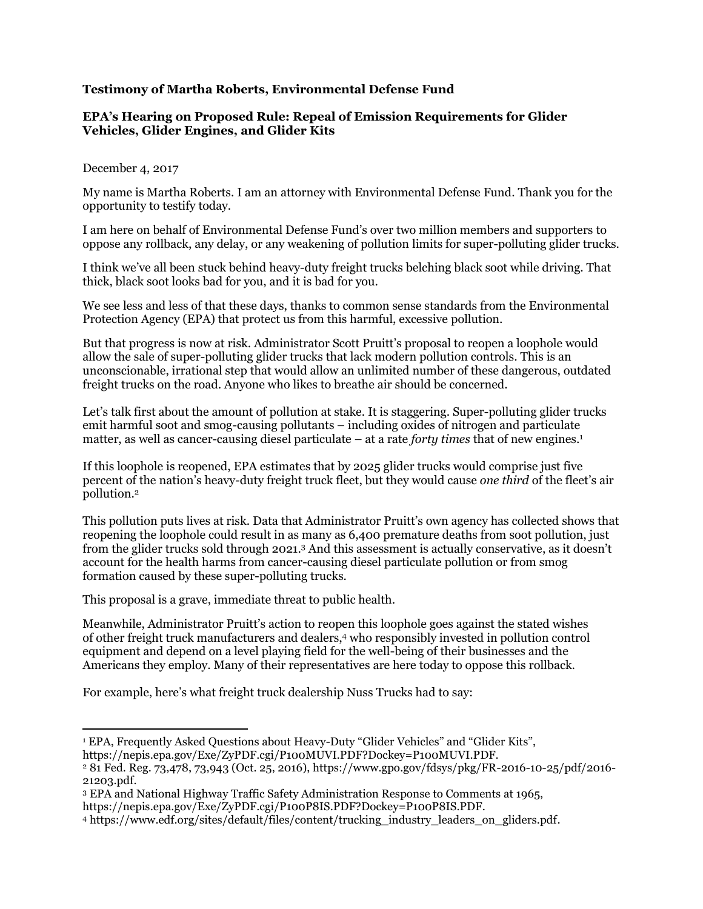## **Testimony of Martha Roberts, Environmental Defense Fund**

## **EPA's Hearing on Proposed Rule: Repeal of Emission Requirements for Glider Vehicles, Glider Engines, and Glider Kits**

## December 4, 2017

My name is Martha Roberts. I am an attorney with Environmental Defense Fund. Thank you for the opportunity to testify today.

I am here on behalf of Environmental Defense Fund's over two million members and supporters to oppose any rollback, any delay, or any weakening of pollution limits for super-polluting glider trucks.

I think we've all been stuck behind heavy-duty freight trucks belching black soot while driving. That thick, black soot looks bad for you, and it is bad for you.

We see less and less of that these days, thanks to common sense standards from the Environmental Protection Agency (EPA) that protect us from this harmful, excessive pollution.

But that progress is now at risk. Administrator Scott Pruitt's proposal to reopen a loophole would allow the sale of super-polluting glider trucks that lack modern pollution controls. This is an unconscionable, irrational step that would allow an unlimited number of these dangerous, outdated freight trucks on the road. Anyone who likes to breathe air should be concerned.

Let's talk first about the amount of pollution at stake. It is staggering. Super-polluting glider trucks emit harmful soot and smog-causing pollutants – including oxides of nitrogen and particulate matter, as well as cancer-causing diesel particulate – at a rate *forty times* that of new engines.<sup>1</sup>

If this loophole is reopened, EPA estimates that by 2025 glider trucks would comprise just five percent of the nation's heavy-duty freight truck fleet, but they would cause *one third* of the fleet's air pollution.<sup>2</sup>

This pollution puts lives at risk. Data that Administrator Pruitt's own agency has collected shows that reopening the loophole could result in as many as 6,400 premature deaths from soot pollution, just from the glider trucks sold through 2021. <sup>3</sup> And this assessment is actually conservative, as it doesn't account for the health harms from cancer-causing diesel particulate pollution or from smog formation caused by these super-polluting trucks.

This proposal is a grave, immediate threat to public health.

Meanwhile, Administrator Pruitt's action to reopen this loophole goes against the stated wishes of other freight truck [manufacturers](https://www.edf.org/sites/default/files/content/trucking_industry_leaders_on_gliders.pdf) and dealers,<sup>4</sup> who responsibly invested in pollution control equipment and depend on a level playing field for the well-being of their businesses and the Americans they employ. Many of their representatives are here today to oppose this rollback.

For example, here's what freight truck dealership Nuss Trucks had to say:

 $\overline{a}$ <sup>1</sup> EPA, Frequently Asked Questions about Heavy-Duty "Glider Vehicles" and "Glider Kits", https://nepis.epa.gov/Exe/ZyPDF.cgi/P100MUVI.PDF?Dockey=P100MUVI.PDF.

<sup>2</sup> 81 Fed. Reg. 73,478, 73,943 (Oct. 25, 2016), https://www.gpo.gov/fdsys/pkg/FR-2016-10-25/pdf/2016- 21203.pdf.

<sup>3</sup> EPA and National Highway Traffic Safety Administration Response to Comments at 1965,

https://nepis.epa.gov/Exe/ZyPDF.cgi/P100P8IS.PDF?Dockey=P100P8IS.PDF.

<sup>4</sup> https://www.edf.org/sites/default/files/content/trucking\_industry\_leaders\_on\_gliders.pdf.